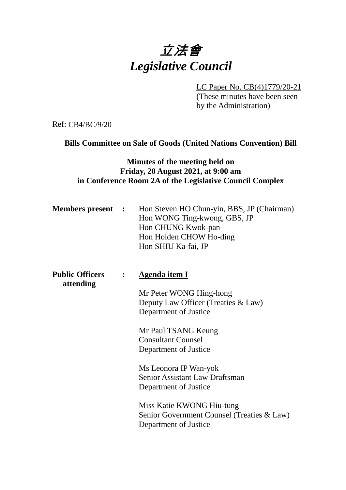# 立法會 *Legislative Council*

LC Paper No. CB(4)1779/20-21

(These minutes have been seen by the Administration)

Ref: CB4/BC/9/20

# **Bills Committee on Sale of Goods (United Nations Convention) Bill**

# **Minutes of the meeting held on Friday, 20 August 2021, at 9:00 am in Conference Room 2A of the Legislative Council Complex**

| <b>Members present</b> : | Hon Steven HO Chun-yin, BBS, JP (Chairman) |
|--------------------------|--------------------------------------------|
|                          | Hon WONG Ting-kwong, GBS, JP               |
|                          | Hon CHUNG Kwok-pan                         |
|                          | Hon Holden CHOW Ho-ding                    |
|                          | Hon SHIU Ka-fai, JP                        |

| <b>Public Officers</b> | Agenda item I                              |  |
|------------------------|--------------------------------------------|--|
| attending              |                                            |  |
|                        | $M_{\rm F}$ Dotor $WONC$ $\rm{H}$ ing hong |  |

Mr Peter WONG Hing-hong Deputy Law Officer (Treaties & Law) Department of Justice

Mr Paul TSANG Keung Consultant Counsel Department of Justice

Ms Leonora IP Wan-yok Senior Assistant Law Draftsman Department of Justice

Miss Katie KWONG Hiu-tung Senior Government Counsel (Treaties & Law) Department of Justice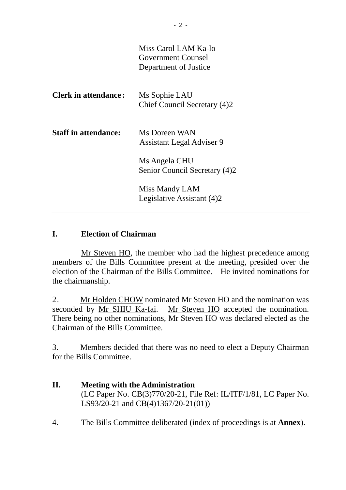|                             | Miss Carol LAM Ka-lo<br>Government Counsel<br>Department of Justice |
|-----------------------------|---------------------------------------------------------------------|
| <b>Clerk in attendance:</b> | Ms Sophie LAU<br>Chief Council Secretary (4)2                       |
| <b>Staff in attendance:</b> | Ms Doreen WAN<br><b>Assistant Legal Adviser 9</b>                   |
|                             | Ms Angela CHU<br>Senior Council Secretary (4)2                      |
|                             | Miss Mandy LAM<br>Legislative Assistant (4)2                        |

# **I. Election of Chairman**

Mr Steven HO, the member who had the highest precedence among members of the Bills Committee present at the meeting, presided over the election of the Chairman of the Bills Committee. He invited nominations for the chairmanship.

2. Mr Holden CHOW nominated Mr Steven HO and the nomination was seconded by Mr SHIU Ka-fai. Mr Steven HO accepted the nomination. There being no other nominations, Mr Steven HO was declared elected as the Chairman of the Bills Committee.

3. Members decided that there was no need to elect a Deputy Chairman for the Bills Committee.

- **II. Meeting with the Administration** (LC Paper No. CB(3)770/20-21, File Ref: IL/ITF/1/81, LC Paper No. LS93/20-21 and CB(4)1367/20-21(01))
- 4. The Bills Committee deliberated (index of proceedings is at **Annex**).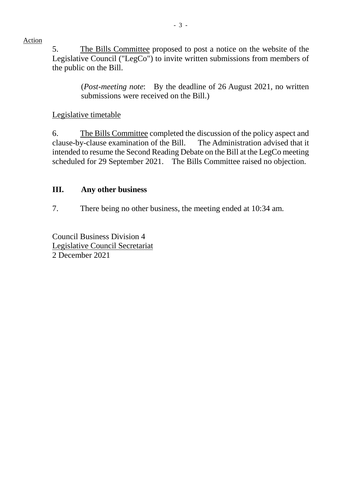Action

5. The Bills Committee proposed to post a notice on the website of the Legislative Council ("LegCo") to invite written submissions from members of the public on the Bill.

> (*Post-meeting note*: By the deadline of 26 August 2021, no written submissions were received on the Bill.)

## Legislative timetable

6. The Bills Committee completed the discussion of the policy aspect and clause-by-clause examination of the Bill. The Administration advised that it intended to resume the Second Reading Debate on the Bill at the LegCo meeting scheduled for 29 September 2021. The Bills Committee raised no objection.

# **III. Any other business**

7. There being no other business, the meeting ended at 10:34 am.

Council Business Division 4 Legislative Council Secretariat 2 December 2021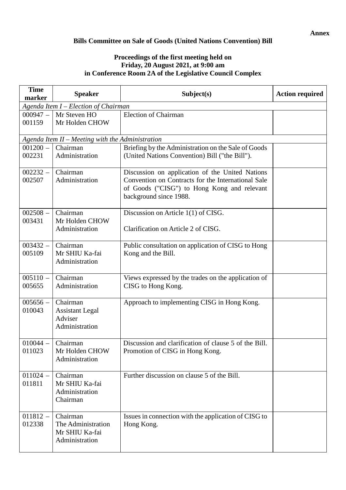#### **Bills Committee on Sale of Goods (United Nations Convention) Bill**

#### **Proceedings of the first meeting held on Friday, 20 August 2021, at 9:00 am in Conference Room 2A of the Legislative Council Complex**

| <b>Time</b><br>marker                | <b>Speaker</b>                                                     | Subject(s)                                                                                                                                                                     | <b>Action required</b> |  |  |
|--------------------------------------|--------------------------------------------------------------------|--------------------------------------------------------------------------------------------------------------------------------------------------------------------------------|------------------------|--|--|
| Agenda Item I – Election of Chairman |                                                                    |                                                                                                                                                                                |                        |  |  |
| $000947 -$<br>001159                 | Mr Steven HO<br>Mr Holden CHOW                                     | <b>Election of Chairman</b>                                                                                                                                                    |                        |  |  |
|                                      | Agenda Item II - Meeting with the Administration                   |                                                                                                                                                                                |                        |  |  |
| $001200 -$<br>002231                 | Chairman<br>Administration                                         | Briefing by the Administration on the Sale of Goods<br>(United Nations Convention) Bill ("the Bill").                                                                          |                        |  |  |
| $002232 -$<br>002507                 | Chairman<br>Administration                                         | Discussion on application of the United Nations<br>Convention on Contracts for the International Sale<br>of Goods ("CISG") to Hong Kong and relevant<br>background since 1988. |                        |  |  |
| $002508 -$<br>003431                 | Chairman<br>Mr Holden CHOW<br>Administration                       | Discussion on Article 1(1) of CISG.<br>Clarification on Article 2 of CISG.                                                                                                     |                        |  |  |
| $003432 -$<br>005109                 | Chairman<br>Mr SHIU Ka-fai<br>Administration                       | Public consultation on application of CISG to Hong<br>Kong and the Bill.                                                                                                       |                        |  |  |
| $005110 -$<br>005655                 | Chairman<br>Administration                                         | Views expressed by the trades on the application of<br>CISG to Hong Kong.                                                                                                      |                        |  |  |
| $005656 -$<br>010043                 | Chairman<br><b>Assistant Legal</b><br>Adviser<br>Administration    | Approach to implementing CISG in Hong Kong.                                                                                                                                    |                        |  |  |
| $010044 -$<br>011023                 | Chairman<br>Mr Holden CHOW<br>Administration                       | Discussion and clarification of clause 5 of the Bill.<br>Promotion of CISG in Hong Kong.                                                                                       |                        |  |  |
| $011024 -$<br>011811                 | Chairman<br>Mr SHIU Ka-fai<br>Administration<br>Chairman           | Further discussion on clause 5 of the Bill.                                                                                                                                    |                        |  |  |
| $011812 -$<br>012338                 | Chairman<br>The Administration<br>Mr SHIU Ka-fai<br>Administration | Issues in connection with the application of CISG to<br>Hong Kong.                                                                                                             |                        |  |  |